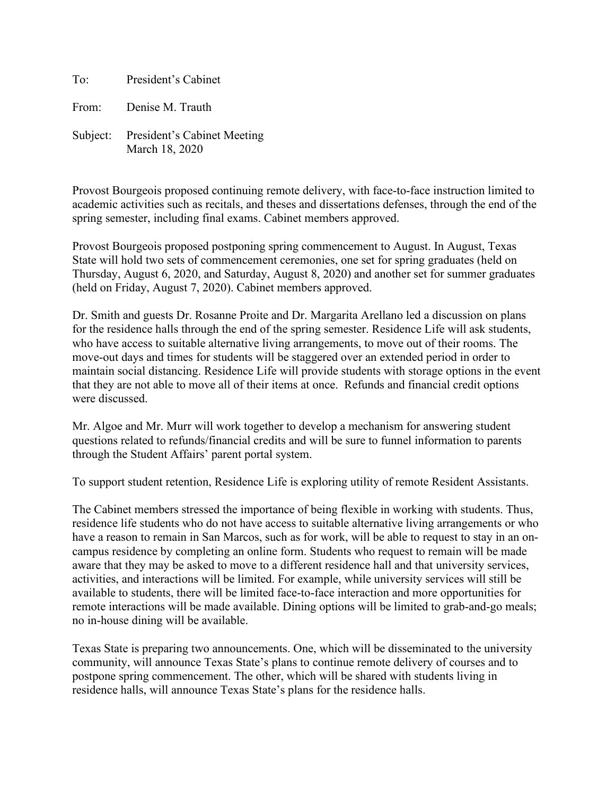To: President's Cabinet From: Denise M. Trauth Subject: President's Cabinet Meeting March 18, 2020

Provost Bourgeois proposed continuing remote delivery, with face-to-face instruction limited to academic activities such as recitals, and theses and dissertations defenses, through the end of the spring semester, including final exams. Cabinet members approved.

Provost Bourgeois proposed postponing spring commencement to August. In August, Texas State will hold two sets of commencement ceremonies, one set for spring graduates (held on Thursday, August 6, 2020, and Saturday, August 8, 2020) and another set for summer graduates (held on Friday, August 7, 2020). Cabinet members approved.

Dr. Smith and guests Dr. Rosanne Proite and Dr. Margarita Arellano led a discussion on plans for the residence halls through the end of the spring semester. Residence Life will ask students, who have access to suitable alternative living arrangements, to move out of their rooms. The move-out days and times for students will be staggered over an extended period in order to maintain social distancing. Residence Life will provide students with storage options in the event that they are not able to move all of their items at once. Refunds and financial credit options were discussed.

Mr. Algoe and Mr. Murr will work together to develop a mechanism for answering student questions related to refunds/financial credits and will be sure to funnel information to parents through the Student Affairs' parent portal system.

To support student retention, Residence Life is exploring utility of remote Resident Assistants.

The Cabinet members stressed the importance of being flexible in working with students. Thus, residence life students who do not have access to suitable alternative living arrangements or who have a reason to remain in San Marcos, such as for work, will be able to request to stay in an oncampus residence by completing an online form. Students who request to remain will be made aware that they may be asked to move to a different residence hall and that university services, activities, and interactions will be limited. For example, while university services will still be available to students, there will be limited face-to-face interaction and more opportunities for remote interactions will be made available. Dining options will be limited to grab-and-go meals; no in-house dining will be available.

Texas State is preparing two announcements. One, which will be disseminated to the university community, will announce Texas State's plans to continue remote delivery of courses and to postpone spring commencement. The other, which will be shared with students living in residence halls, will announce Texas State's plans for the residence halls.